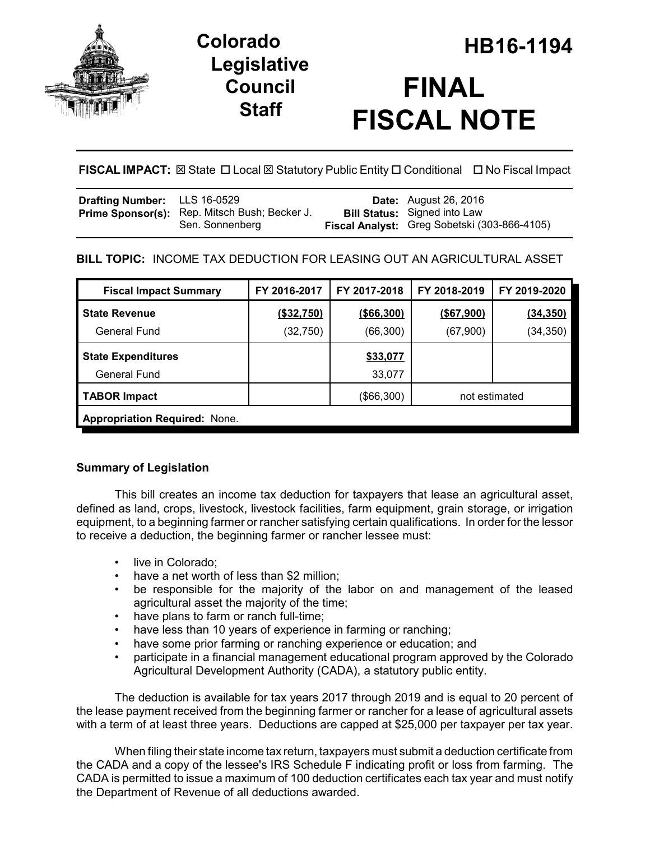

# **Legislative Council Staff**



# **FISCAL IMPACT:** ⊠ State □ Local ⊠ Statutory Public Entity □ Conditional □ No Fiscal Impact

| <b>Drafting Number:</b> LLS 16-0529 |                                                                  | <b>Date:</b> August 26, 2016                                                        |
|-------------------------------------|------------------------------------------------------------------|-------------------------------------------------------------------------------------|
|                                     | Prime Sponsor(s): Rep. Mitsch Bush; Becker J.<br>Sen. Sonnenberg | <b>Bill Status:</b> Signed into Law<br>Fiscal Analyst: Greg Sobetski (303-866-4105) |

# **BILL TOPIC:** INCOME TAX DEDUCTION FOR LEASING OUT AN AGRICULTURAL ASSET

| <b>Fiscal Impact Summary</b>         | FY 2016-2017 | FY 2017-2018 | FY 2018-2019  | FY 2019-2020    |  |  |  |
|--------------------------------------|--------------|--------------|---------------|-----------------|--|--|--|
| <b>State Revenue</b>                 | (\$32,750)   | ( \$66, 300) | ( \$67, 900)  | <u>(34,350)</u> |  |  |  |
| General Fund                         | (32, 750)    | (66, 300)    | (67,900)      | (34, 350)       |  |  |  |
| <b>State Expenditures</b>            |              | \$33,077     |               |                 |  |  |  |
| <b>General Fund</b>                  |              | 33,077       |               |                 |  |  |  |
| <b>TABOR Impact</b>                  |              | (\$66,300)   | not estimated |                 |  |  |  |
| <b>Appropriation Required: None.</b> |              |              |               |                 |  |  |  |

# **Summary of Legislation**

This bill creates an income tax deduction for taxpayers that lease an agricultural asset, defined as land, crops, livestock, livestock facilities, farm equipment, grain storage, or irrigation equipment, to a beginning farmer or rancher satisfying certain qualifications. In order for the lessor to receive a deduction, the beginning farmer or rancher lessee must:

- live in Colorado:
- have a net worth of less than \$2 million;
- be responsible for the majority of the labor on and management of the leased agricultural asset the majority of the time;
- have plans to farm or ranch full-time;
- have less than 10 years of experience in farming or ranching;
- have some prior farming or ranching experience or education; and
- participate in a financial management educational program approved by the Colorado Agricultural Development Authority (CADA), a statutory public entity.

The deduction is available for tax years 2017 through 2019 and is equal to 20 percent of the lease payment received from the beginning farmer or rancher for a lease of agricultural assets with a term of at least three years. Deductions are capped at \$25,000 per taxpayer per tax year.

When filing their state income tax return, taxpayers must submit a deduction certificate from the CADA and a copy of the lessee's IRS Schedule F indicating profit or loss from farming. The CADA is permitted to issue a maximum of 100 deduction certificates each tax year and must notify the Department of Revenue of all deductions awarded.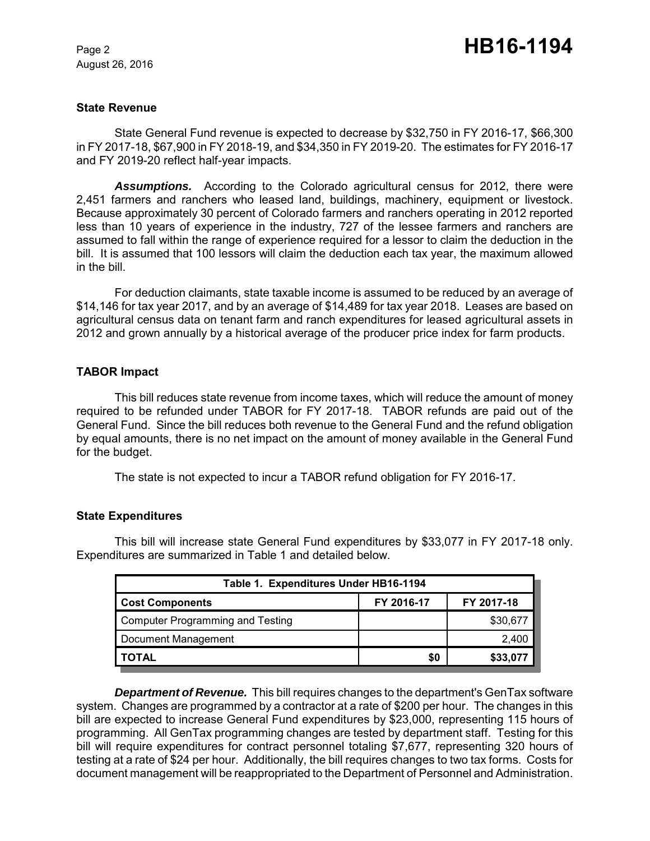August 26, 2016

#### **State Revenue**

State General Fund revenue is expected to decrease by \$32,750 in FY 2016-17, \$66,300 in FY 2017-18, \$67,900 in FY 2018-19, and \$34,350 in FY 2019-20. The estimates for FY 2016-17 and FY 2019-20 reflect half-year impacts.

*Assumptions.* According to the Colorado agricultural census for 2012, there were 2,451 farmers and ranchers who leased land, buildings, machinery, equipment or livestock. Because approximately 30 percent of Colorado farmers and ranchers operating in 2012 reported less than 10 years of experience in the industry, 727 of the lessee farmers and ranchers are assumed to fall within the range of experience required for a lessor to claim the deduction in the bill. It is assumed that 100 lessors will claim the deduction each tax year, the maximum allowed in the bill.

For deduction claimants, state taxable income is assumed to be reduced by an average of \$14,146 for tax year 2017, and by an average of \$14,489 for tax year 2018. Leases are based on agricultural census data on tenant farm and ranch expenditures for leased agricultural assets in 2012 and grown annually by a historical average of the producer price index for farm products.

## **TABOR Impact**

This bill reduces state revenue from income taxes, which will reduce the amount of money required to be refunded under TABOR for FY 2017-18. TABOR refunds are paid out of the General Fund. Since the bill reduces both revenue to the General Fund and the refund obligation by equal amounts, there is no net impact on the amount of money available in the General Fund for the budget.

The state is not expected to incur a TABOR refund obligation for FY 2016-17.

## **State Expenditures**

This bill will increase state General Fund expenditures by \$33,077 in FY 2017-18 only. Expenditures are summarized in Table 1 and detailed below.

| Table 1. Expenditures Under HB16-1194   |            |            |  |  |  |
|-----------------------------------------|------------|------------|--|--|--|
| <b>Cost Components</b>                  | FY 2016-17 | FY 2017-18 |  |  |  |
| <b>Computer Programming and Testing</b> |            | \$30,677   |  |  |  |
| Document Management                     |            | 2,400      |  |  |  |
| TOTAL                                   | \$0        | \$33,077   |  |  |  |

*Department of Revenue.* This bill requires changes to the department's GenTax software system. Changes are programmed by a contractor at a rate of \$200 per hour. The changes in this bill are expected to increase General Fund expenditures by \$23,000, representing 115 hours of programming. All GenTax programming changes are tested by department staff. Testing for this bill will require expenditures for contract personnel totaling \$7,677, representing 320 hours of testing at a rate of \$24 per hour. Additionally, the bill requires changes to two tax forms. Costs for document management will be reappropriated to the Department of Personnel and Administration.